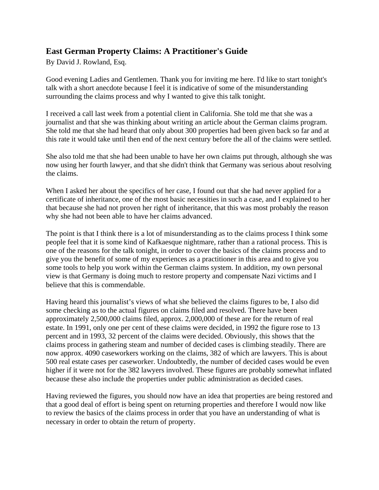# **East German Property Claims: A Practitioner's Guide**

By David J. Rowland, Esq.

Good evening Ladies and Gentlemen. Thank you for inviting me here. I'd like to start tonight's talk with a short anecdote because I feel it is indicative of some of the misunderstanding surrounding the claims process and why I wanted to give this talk tonight.

I received a call last week from a potential client in California. She told me that she was a journalist and that she was thinking about writing an article about the German claims program. She told me that she had heard that only about 300 properties had been given back so far and at this rate it would take until then end of the next century before the all of the claims were settled.

She also told me that she had been unable to have her own claims put through, although she was now using her fourth lawyer, and that she didn't think that Germany was serious about resolving the claims.

When I asked her about the specifics of her case, I found out that she had never applied for a certificate of inheritance, one of the most basic necessities in such a case, and I explained to her that because she had not proven her right of inheritance, that this was most probably the reason why she had not been able to have her claims advanced.

The point is that I think there is a lot of misunderstanding as to the claims process I think some people feel that it is some kind of Kafkaesque nightmare, rather than a rational process. This is one of the reasons for the talk tonight, in order to cover the basics of the claims process and to give you the benefit of some of my experiences as a practitioner in this area and to give you some tools to help you work within the German claims system. In addition, my own personal view is that Germany is doing much to restore property and compensate Nazi victims and I believe that this is commendable.

Having heard this journalist's views of what she believed the claims figures to be, I also did some checking as to the actual figures on claims filed and resolved. There have been approximately 2,500,000 claims filed, approx. 2,000,000 of these are for the return of real estate. In 1991, only one per cent of these claims were decided, in 1992 the figure rose to 13 percent and in 1993, 32 percent of the claims were decided. Obviously, this shows that the claims process in gathering steam and number of decided cases is climbing steadily. There are now approx. 4090 caseworkers working on the claims, 382 of which are lawyers. This is about 500 real estate cases per caseworker. Undoubtedly, the number of decided cases would be even higher if it were not for the 382 lawyers involved. These figures are probably somewhat inflated because these also include the properties under public administration as decided cases.

Having reviewed the figures, you should now have an idea that properties are being restored and that a good deal of effort is being spent on returning properties and therefore I would now like to review the basics of the claims process in order that you have an understanding of what is necessary in order to obtain the return of property.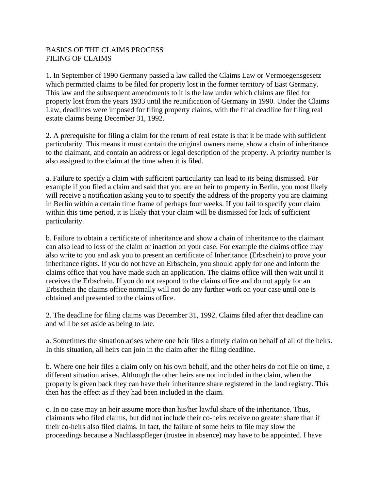## BASICS OF THE CLAIMS PROCESS FILING OF CLAIMS

1. In September of 1990 Germany passed a law called the Claims Law or Vermoegensgesetz which permitted claims to be filed for property lost in the former territory of East Germany. This law and the subsequent amendments to it is the law under which claims are filed for property lost from the years 1933 until the reunification of Germany in 1990. Under the Claims Law, deadlines were imposed for filing property claims, with the final deadline for filing real estate claims being December 31, 1992.

2. A prerequisite for filing a claim for the return of real estate is that it be made with sufficient particularity. This means it must contain the original owners name, show a chain of inheritance to the claimant, and contain an address or legal description of the property. A priority number is also assigned to the claim at the time when it is filed.

a. Failure to specify a claim with sufficient particularity can lead to its being dismissed. For example if you filed a claim and said that you are an heir to property in Berlin, you most likely will receive a notification asking you to to specify the address of the property you are claiming in Berlin within a certain time frame of perhaps four weeks. If you fail to specify your claim within this time period, it is likely that your claim will be dismissed for lack of sufficient particularity.

b. Failure to obtain a certificate of inheritance and show a chain of inheritance to the claimant can also lead to loss of the claim or inaction on your case. For example the claims office may also write to you and ask you to present an certificate of Inheritance (Erbschein) to prove your inheritance rights. If you do not have an Erbschein, you should apply for one and inform the claims office that you have made such an application. The claims office will then wait until it receives the Erbschein. If you do not respond to the claims office and do not apply for an Erbschein the claims office normally will not do any further work on your case until one is obtained and presented to the claims office.

2. The deadline for filing claims was December 31, 1992. Claims filed after that deadline can and will be set aside as being to late.

a. Sometimes the situation arises where one heir files a timely claim on behalf of all of the heirs. In this situation, all heirs can join in the claim after the filing deadline.

b. Where one heir files a claim only on his own behalf, and the other heirs do not file on time, a different situation arises. Although the other heirs are not included in the claim, when the property is given back they can have their inheritance share registered in the land registry. This then has the effect as if they had been included in the claim.

c. In no case may an heir assume more than his/her lawful share of the inheritance. Thus, claimants who filed claims, but did not include their co-heirs receive no greater share than if their co-heirs also filed claims. In fact, the failure of some heirs to file may slow the proceedings because a Nachlasspfleger (trustee in absence) may have to be appointed. I have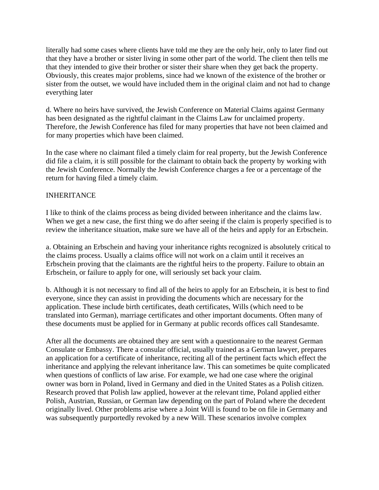literally had some cases where clients have told me they are the only heir, only to later find out that they have a brother or sister living in some other part of the world. The client then tells me that they intended to give their brother or sister their share when they get back the property. Obviously, this creates major problems, since had we known of the existence of the brother or sister from the outset, we would have included them in the original claim and not had to change everything later

d. Where no heirs have survived, the Jewish Conference on Material Claims against Germany has been designated as the rightful claimant in the Claims Law for unclaimed property. Therefore, the Jewish Conference has filed for many properties that have not been claimed and for many properties which have been claimed.

In the case where no claimant filed a timely claim for real property, but the Jewish Conference did file a claim, it is still possible for the claimant to obtain back the property by working with the Jewish Conference. Normally the Jewish Conference charges a fee or a percentage of the return for having filed a timely claim.

#### INHERITANCE

I like to think of the claims process as being divided between inheritance and the claims law. When we get a new case, the first thing we do after seeing if the claim is properly specified is to review the inheritance situation, make sure we have all of the heirs and apply for an Erbschein.

a. Obtaining an Erbschein and having your inheritance rights recognized is absolutely critical to the claims process. Usually a claims office will not work on a claim until it receives an Erbschein proving that the claimants are the rightful heirs to the property. Failure to obtain an Erbschein, or failure to apply for one, will seriously set back your claim.

b. Although it is not necessary to find all of the heirs to apply for an Erbschein, it is best to find everyone, since they can assist in providing the documents which are necessary for the application. These include birth certificates, death certificates, Wills (which need to be translated into German), marriage certificates and other important documents. Often many of these documents must be applied for in Germany at public records offices call Standesamte.

After all the documents are obtained they are sent with a questionnaire to the nearest German Consulate or Embassy. There a consular official, usually trained as a German lawyer, prepares an application for a certificate of inheritance, reciting all of the pertinent facts which effect the inheritance and applying the relevant inheritance law. This can sometimes be quite complicated when questions of conflicts of law arise. For example, we had one case where the original owner was born in Poland, lived in Germany and died in the United States as a Polish citizen. Research proved that Polish law applied, however at the relevant time, Poland applied either Polish, Austrian, Russian, or German law depending on the part of Poland where the decedent originally lived. Other problems arise where a Joint Will is found to be on file in Germany and was subsequently purportedly revoked by a new Will. These scenarios involve complex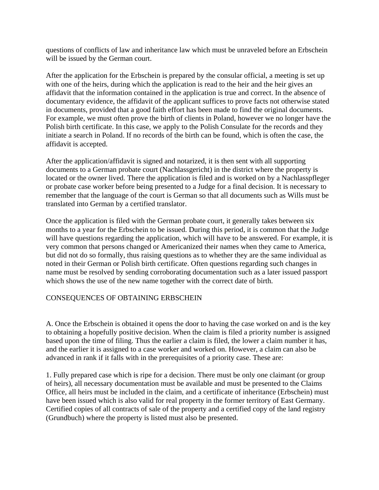questions of conflicts of law and inheritance law which must be unraveled before an Erbschein will be issued by the German court.

After the application for the Erbschein is prepared by the consular official, a meeting is set up with one of the heirs, during which the application is read to the heir and the heir gives an affidavit that the information contained in the application is true and correct. In the absence of documentary evidence, the affidavit of the applicant suffices to prove facts not otherwise stated in documents, provided that a good faith effort has been made to find the original documents. For example, we must often prove the birth of clients in Poland, however we no longer have the Polish birth certificate. In this case, we apply to the Polish Consulate for the records and they initiate a search in Poland. If no records of the birth can be found, which is often the case, the affidavit is accepted.

After the application/affidavit is signed and notarized, it is then sent with all supporting documents to a German probate court (Nachlassgericht) in the district where the property is located or the owner lived. There the application is filed and is worked on by a Nachlasspfleger or probate case worker before being presented to a Judge for a final decision. It is necessary to remember that the language of the court is German so that all documents such as Wills must be translated into German by a certified translator.

Once the application is filed with the German probate court, it generally takes between six months to a year for the Erbschein to be issued. During this period, it is common that the Judge will have questions regarding the application, which will have to be answered. For example, it is very common that persons changed or Americanized their names when they came to America, but did not do so formally, thus raising questions as to whether they are the same individual as noted in their German or Polish birth certificate. Often questions regarding such changes in name must be resolved by sending corroborating documentation such as a later issued passport which shows the use of the new name together with the correct date of birth.

## CONSEQUENCES OF OBTAINING ERBSCHEIN

A. Once the Erbschein is obtained it opens the door to having the case worked on and is the key to obtaining a hopefully positive decision. When the claim is filed a priority number is assigned based upon the time of filing. Thus the earlier a claim is filed, the lower a claim number it has, and the earlier it is assigned to a case worker and worked on. However, a claim can also be advanced in rank if it falls with in the prerequisites of a priority case. These are:

1. Fully prepared case which is ripe for a decision. There must be only one claimant (or group of heirs), all necessary documentation must be available and must be presented to the Claims Office, all heirs must be included in the claim, and a certificate of inheritance (Erbschein) must have been issued which is also valid for real property in the former territory of East Germany. Certified copies of all contracts of sale of the property and a certified copy of the land registry (Grundbuch) where the property is listed must also be presented.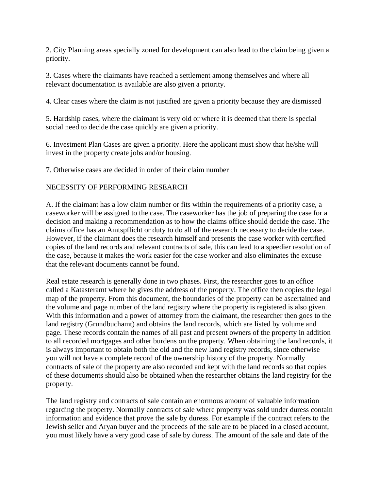2. City Planning areas specially zoned for development can also lead to the claim being given a priority.

3. Cases where the claimants have reached a settlement among themselves and where all relevant documentation is available are also given a priority.

4. Clear cases where the claim is not justified are given a priority because they are dismissed

5. Hardship cases, where the claimant is very old or where it is deemed that there is special social need to decide the case quickly are given a priority.

6. Investment Plan Cases are given a priority. Here the applicant must show that he/she will invest in the property create jobs and/or housing.

7. Otherwise cases are decided in order of their claim number

## NECESSITY OF PERFORMING RESEARCH

A. If the claimant has a low claim number or fits within the requirements of a priority case, a caseworker will be assigned to the case. The caseworker has the job of preparing the case for a decision and making a recommendation as to how the claims office should decide the case. The claims office has an Amtspflicht or duty to do all of the research necessary to decide the case. However, if the claimant does the research himself and presents the case worker with certified copies of the land records and relevant contracts of sale, this can lead to a speedier resolution of the case, because it makes the work easier for the case worker and also eliminates the excuse that the relevant documents cannot be found.

Real estate research is generally done in two phases. First, the researcher goes to an office called a Katasteramt where he gives the address of the property. The office then copies the legal map of the property. From this document, the boundaries of the property can be ascertained and the volume and page number of the land registry where the property is registered is also given. With this information and a power of attorney from the claimant, the researcher then goes to the land registry (Grundbuchamt) and obtains the land records, which are listed by volume and page. These records contain the names of all past and present owners of the property in addition to all recorded mortgages and other burdens on the property. When obtaining the land records, it is always important to obtain both the old and the new land registry records, since otherwise you will not have a complete record of the ownership history of the property. Normally contracts of sale of the property are also recorded and kept with the land records so that copies of these documents should also be obtained when the researcher obtains the land registry for the property.

The land registry and contracts of sale contain an enormous amount of valuable information regarding the property. Normally contracts of sale where property was sold under duress contain information and evidence that prove the sale by duress. For example if the contract refers to the Jewish seller and Aryan buyer and the proceeds of the sale are to be placed in a closed account, you must likely have a very good case of sale by duress. The amount of the sale and date of the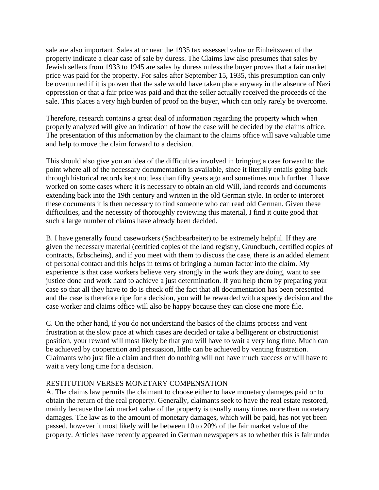sale are also important. Sales at or near the 1935 tax assessed value or Einheitswert of the property indicate a clear case of sale by duress. The Claims law also presumes that sales by Jewish sellers from 1933 to 1945 are sales by duress unless the buyer proves that a fair market price was paid for the property. For sales after September 15, 1935, this presumption can only be overturned if it is proven that the sale would have taken place anyway in the absence of Nazi oppression or that a fair price was paid and that the seller actually received the proceeds of the sale. This places a very high burden of proof on the buyer, which can only rarely be overcome.

Therefore, research contains a great deal of information regarding the property which when properly analyzed will give an indication of how the case will be decided by the claims office. The presentation of this information by the claimant to the claims office will save valuable time and help to move the claim forward to a decision.

This should also give you an idea of the difficulties involved in bringing a case forward to the point where all of the necessary documentation is available, since it literally entails going back through historical records kept not less than fifty years ago and sometimes much further. I have worked on some cases where it is necessary to obtain an old Will, land records and documents extending back into the 19th century and written in the old German style. In order to interpret these documents it is then necessary to find someone who can read old German. Given these difficulties, and the necessity of thoroughly reviewing this material, I find it quite good that such a large number of claims have already been decided.

B. I have generally found caseworkers (Sachbearbeiter) to be extremely helpful. If they are given the necessary material (certified copies of the land registry, Grundbuch, certified copies of contracts, Erbscheins), and if you meet with them to discuss the case, there is an added element of personal contact and this helps in terms of bringing a human factor into the claim. My experience is that case workers believe very strongly in the work they are doing, want to see justice done and work hard to achieve a just determination. If you help them by preparing your case so that all they have to do is check off the fact that all documentation has been presented and the case is therefore ripe for a decision, you will be rewarded with a speedy decision and the case worker and claims office will also be happy because they can close one more file.

C. On the other hand, if you do not understand the basics of the claims process and vent frustration at the slow pace at which cases are decided or take a belligerent or obstructionist position, your reward will most likely be that you will have to wait a very long time. Much can be achieved by cooperation and persuasion, little can be achieved by venting frustration. Claimants who just file a claim and then do nothing will not have much success or will have to wait a very long time for a decision.

#### RESTITUTION VERSES MONETARY COMPENSATION

A. The claims law permits the claimant to choose either to have monetary damages paid or to obtain the return of the real property. Generally, claimants seek to have the real estate restored, mainly because the fair market value of the property is usually many times more than monetary damages. The law as to the amount of monetary damages, which will be paid, has not yet been passed, however it most likely will be between 10 to 20% of the fair market value of the property. Articles have recently appeared in German newspapers as to whether this is fair under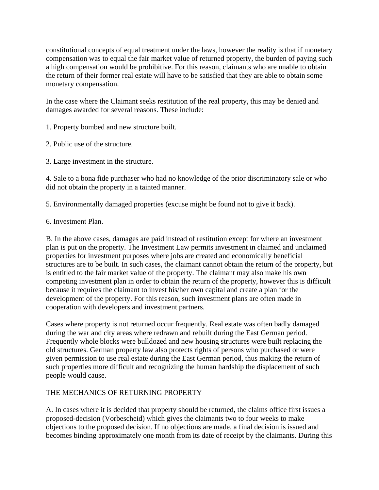constitutional concepts of equal treatment under the laws, however the reality is that if monetary compensation was to equal the fair market value of returned property, the burden of paying such a high compensation would be prohibitive. For this reason, claimants who are unable to obtain the return of their former real estate will have to be satisfied that they are able to obtain some monetary compensation.

In the case where the Claimant seeks restitution of the real property, this may be denied and damages awarded for several reasons. These include:

1. Property bombed and new structure built.

2. Public use of the structure.

3. Large investment in the structure.

4. Sale to a bona fide purchaser who had no knowledge of the prior discriminatory sale or who did not obtain the property in a tainted manner.

5. Environmentally damaged properties (excuse might be found not to give it back).

6. Investment Plan.

B. In the above cases, damages are paid instead of restitution except for where an investment plan is put on the property. The Investment Law permits investment in claimed and unclaimed properties for investment purposes where jobs are created and economically beneficial structures are to be built. In such cases, the claimant cannot obtain the return of the property, but is entitled to the fair market value of the property. The claimant may also make his own competing investment plan in order to obtain the return of the property, however this is difficult because it requires the claimant to invest his/her own capital and create a plan for the development of the property. For this reason, such investment plans are often made in cooperation with developers and investment partners.

Cases where property is not returned occur frequently. Real estate was often badly damaged during the war and city areas where redrawn and rebuilt during the East German period. Frequently whole blocks were bulldozed and new housing structures were built replacing the old structures. German property law also protects rights of persons who purchased or were given permission to use real estate during the East German period, thus making the return of such properties more difficult and recognizing the human hardship the displacement of such people would cause.

# THE MECHANICS OF RETURNING PROPERTY

A. In cases where it is decided that property should be returned, the claims office first issues a proposed-decision (Vorbescheid) which gives the claimants two to four weeks to make objections to the proposed decision. If no objections are made, a final decision is issued and becomes binding approximately one month from its date of receipt by the claimants. During this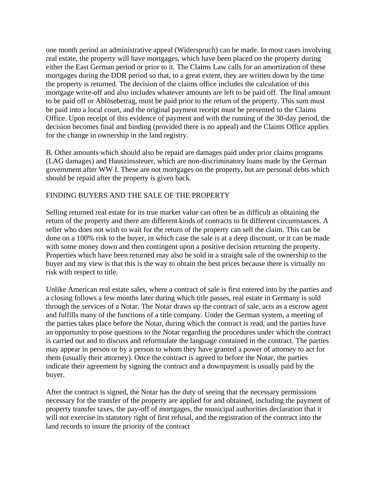one month period an administrative appeal (Widerspruch) can be made. In most cases involving real estate, the property will have mortgages, which have been placed on the property during either the East German period or prior to it. The Claims Law calls for an amortization of these mortgages during the DDR period so that, to a great extent, they are written down by the time the property is returned. The decision of the claims office includes the calculation of this mortgage write-off and also includes whatever amounts are left to be paid off. The final amount to be paid off or Ablösebetrag, must be paid prior to the return of the property. This sum must be paid into a local court, and the original payment receipt must be presented to the Claims Office. Upon receipt of this evidence of payment and with the running of the 30-day period, the decision becomes final and binding (provided there is no appeal) and the Claims Office applies for the change in ownership in the land registry.

B. Other amounts which should also be repaid are damages paid under prior claims programs (LAG damages) and Hauszinssteuer, which are non-discriminatory loans made by the German government after WW I. These are not mortgages on the property, but are personal debts which should be repaid after the property is given back.

## FINDING BUYERS AND THE SALE OF THE PROPERTY

Selling returned real estate for its true market value can often be as difficult as obtaining the return of the property and there are different kinds of contracts to fit different circumstances. A seller who does not wish to wait for the return of the property can sell the claim. This can be done on a 100% risk to the buyer, in which case the sale is at a deep discount, or it can be made with some money down and then contingent upon a positive decision returning the property. Properties which have been returned may also be sold in a straight sale of the ownership to the buyer and my view is that this is the way to obtain the best prices because there is virtually no risk with respect to title.

Unlike American real estate sales, where a contract of sale is first entered into by the parties and a closing follows a few months later during which title passes, real estate in Germany is sold through the services of a Notar. The Notar draws up the contract of sale, acts as a escrow agent and fulfills many of the functions of a title company. Under the German system, a meeting of the parties takes place before the Notar, during which the contract is read, and the parties have an opportunity to pose questions to the Notar regarding the procedures under which the contract is carried out and to discuss and reformulate the language contained in the contract. The parties may appear in person or by a person to whom they have granted a power of attorney to act for them (usually their attorney). Once the contract is agreed to before the Notar, the parties indicate their agreement by signing the contract and a downpayment is usually paid by the buyer.

After the contract is signed, the Notar has the duty of seeing that the necessary permissions necessary for the transfer of the property are applied for and obtained, including the payment of property transfer taxes, the pay-off of mortgages, the municipal authorities declaration that it will not exercise its statutory right of first refusal, and the registration of the contract into the land records to insure the priority of the contract